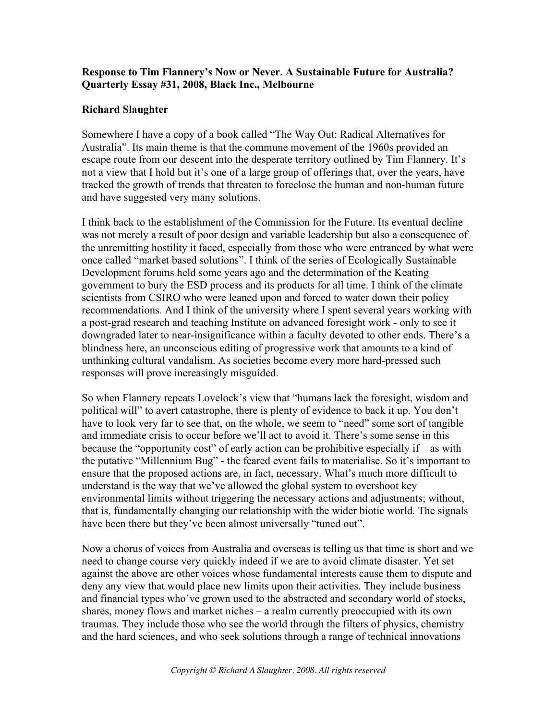## **Response to Tim Flannery's Now or Never. A Sustainable Future for Australia? Quarterly Essay #31, 2008, Black Inc., Melbourne**

## **Richard Slaughter**

Somewhere I have a copy of a book called "The Way Out: Radical Alternatives for Australia". Its main theme is that the commune movement of the 1960s provided an escape route from our descent into the desperate territory outlined by Tim Flannery. It's not a view that I hold but it's one of a large group of offerings that, over the years, have tracked the growth of trends that threaten to foreclose the human and non-human future and have suggested very many solutions.

I think back to the establishment of the Commission for the Future. Its eventual decline was not merely a result of poor design and variable leadership but also a consequence of the unremitting hostility it faced, especially from those who were entranced by what were once called "market based solutions". I think of the series of Ecologically Sustainable Development forums held some years ago and the determination of the Keating government to bury the ESD process and its products for all time. I think of the climate scientists from CSIRO who were leaned upon and forced to water down their policy recommendations. And I think of the university where I spent several years working with a post-grad research and teaching Institute on advanced foresight work - only to see it downgraded later to near-insignificance within a faculty devoted to other ends. There's a blindness here, an unconscious editing of progressive work that amounts to a kind of unthinking cultural vandalism. As societies become every more hard-pressed such responses will prove increasingly misguided.

So when Flannery repeats Lovelock's view that "humans lack the foresight, wisdom and political will" to avert catastrophe, there is plenty of evidence to back it up. You don't have to look very far to see that, on the whole, we seem to "need" some sort of tangible and immediate crisis to occur before we'll act to avoid it. There's some sense in this because the "opportunity cost" of early action can be prohibitive especially if – as with the putative "Millennium Bug" - the feared event fails to materialise. So it's important to ensure that the proposed actions are, in fact, necessary. What's much more difficult to understand is the way that we've allowed the global system to overshoot key environmental limits without triggering the necessary actions and adjustments; without, that is, fundamentally changing our relationship with the wider biotic world. The signals have been there but they've been almost universally "tuned out".

Now a chorus of voices from Australia and overseas is telling us that time is short and we need to change course very quickly indeed if we are to avoid climate disaster. Yet set against the above are other voices whose fundamental interests cause them to dispute and deny any view that would place new limits upon their activities. They include business and financial types who've grown used to the abstracted and secondary world of stocks, shares, money flows and market niches – a realm currently preoccupied with its own traumas. They include those who see the world through the filters of physics, chemistry and the hard sciences, and who seek solutions through a range of technical innovations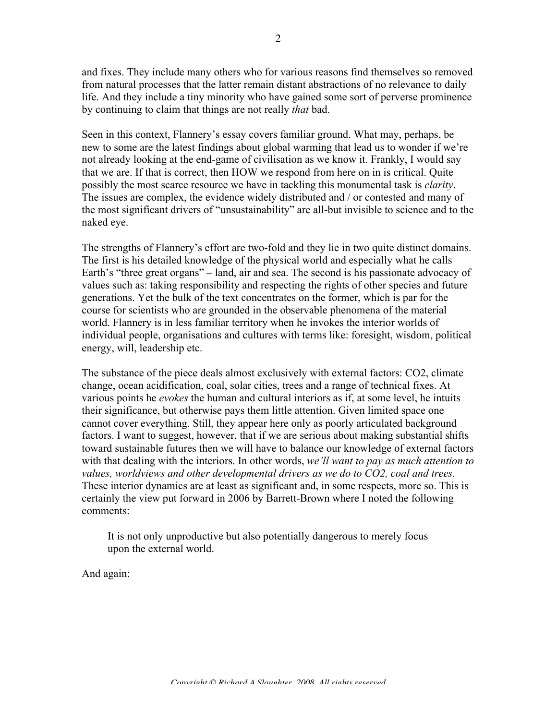and fixes. They include many others who for various reasons find themselves so removed from natural processes that the latter remain distant abstractions of no relevance to daily life. And they include a tiny minority who have gained some sort of perverse prominence by continuing to claim that things are not really *that* bad.

Seen in this context, Flannery's essay covers familiar ground. What may, perhaps, be new to some are the latest findings about global warming that lead us to wonder if we're not already looking at the end-game of civilisation as we know it. Frankly, I would say that we are. If that is correct, then HOW we respond from here on in is critical. Quite possibly the most scarce resource we have in tackling this monumental task is *clarity*. The issues are complex, the evidence widely distributed and / or contested and many of the most significant drivers of "unsustainability" are all-but invisible to science and to the naked eye.

The strengths of Flannery's effort are two-fold and they lie in two quite distinct domains. The first is his detailed knowledge of the physical world and especially what he calls Earth's "three great organs" – land, air and sea. The second is his passionate advocacy of values such as: taking responsibility and respecting the rights of other species and future generations. Yet the bulk of the text concentrates on the former, which is par for the course for scientists who are grounded in the observable phenomena of the material world. Flannery is in less familiar territory when he invokes the interior worlds of individual people, organisations and cultures with terms like: foresight, wisdom, political energy, will, leadership etc.

The substance of the piece deals almost exclusively with external factors: CO2, climate change, ocean acidification, coal, solar cities, trees and a range of technical fixes. At various points he *evokes* the human and cultural interiors as if, at some level, he intuits their significance, but otherwise pays them little attention. Given limited space one cannot cover everything. Still, they appear here only as poorly articulated background factors. I want to suggest, however, that if we are serious about making substantial shifts toward sustainable futures then we will have to balance our knowledge of external factors with that dealing with the interiors. In other words, *we'll want to pay as much attention to values, worldviews and other developmental drivers as we do to CO2, coal and trees.* These interior dynamics are at least as significant and, in some respects, more so. This is certainly the view put forward in 2006 by Barrett-Brown where I noted the following comments:

It is not only unproductive but also potentially dangerous to merely focus upon the external world.

And again: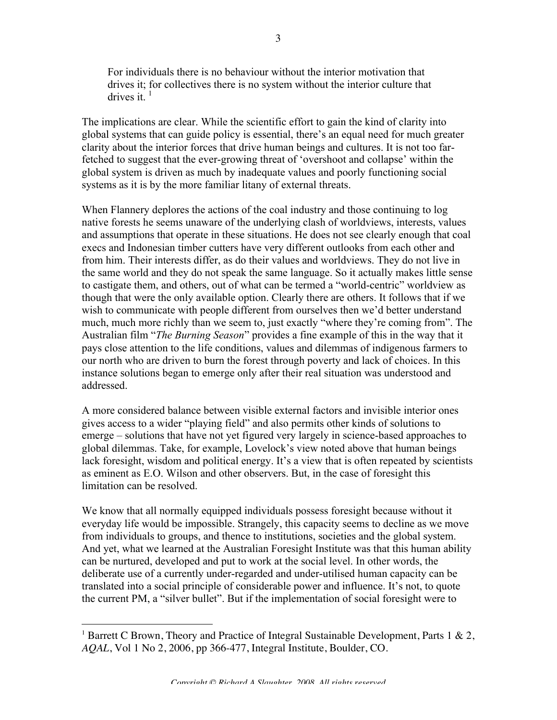For individuals there is no behaviour without the interior motivation that drives it; for collectives there is no system without the interior culture that drives it.  $<sup>1</sup>$ </sup>

The implications are clear. While the scientific effort to gain the kind of clarity into global systems that can guide policy is essential, there's an equal need for much greater clarity about the interior forces that drive human beings and cultures. It is not too farfetched to suggest that the ever-growing threat of 'overshoot and collapse' within the global system is driven as much by inadequate values and poorly functioning social systems as it is by the more familiar litany of external threats.

When Flannery deplores the actions of the coal industry and those continuing to log native forests he seems unaware of the underlying clash of worldviews, interests, values and assumptions that operate in these situations. He does not see clearly enough that coal execs and Indonesian timber cutters have very different outlooks from each other and from him. Their interests differ, as do their values and worldviews. They do not live in the same world and they do not speak the same language. So it actually makes little sense to castigate them, and others, out of what can be termed a "world-centric" worldview as though that were the only available option. Clearly there are others. It follows that if we wish to communicate with people different from ourselves then we'd better understand much, much more richly than we seem to, just exactly "where they're coming from". The Australian film "*The Burning Season*" provides a fine example of this in the way that it pays close attention to the life conditions, values and dilemmas of indigenous farmers to our north who are driven to burn the forest through poverty and lack of choices. In this instance solutions began to emerge only after their real situation was understood and addressed.

A more considered balance between visible external factors and invisible interior ones gives access to a wider "playing field" and also permits other kinds of solutions to emerge – solutions that have not yet figured very largely in science-based approaches to global dilemmas. Take, for example, Lovelock's view noted above that human beings lack foresight, wisdom and political energy. It's a view that is often repeated by scientists as eminent as E.O. Wilson and other observers. But, in the case of foresight this limitation can be resolved.

We know that all normally equipped individuals possess foresight because without it everyday life would be impossible. Strangely, this capacity seems to decline as we move from individuals to groups, and thence to institutions, societies and the global system. And yet, what we learned at the Australian Foresight Institute was that this human ability can be nurtured, developed and put to work at the social level. In other words, the deliberate use of a currently under-regarded and under-utilised human capacity can be translated into a social principle of considerable power and influence. It's not, to quote the current PM, a "silver bullet". But if the implementation of social foresight were to

<sup>|&</sup>lt;br>|<br>| <sup>1</sup> Barrett C Brown, Theory and Practice of Integral Sustainable Development, Parts 1 & 2, *AQAL*, Vol 1 No 2, 2006, pp 366-477, Integral Institute, Boulder, CO.